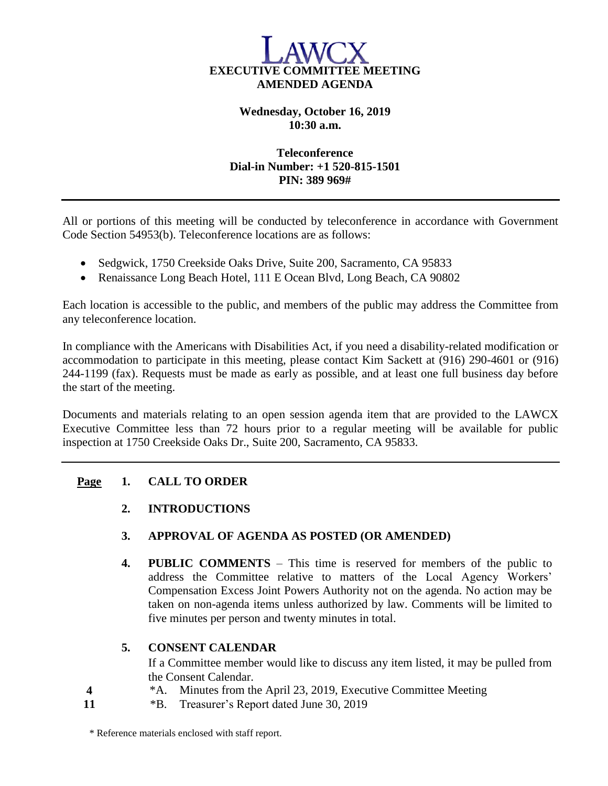

## **Wednesday, October 16, 2019 10:30 a.m.**

## **Teleconference Dial-in Number: +1 520-815-1501 PIN: 389 969#**

All or portions of this meeting will be conducted by teleconference in accordance with Government Code Section 54953(b). Teleconference locations are as follows:

- Sedgwick, 1750 Creekside Oaks Drive, Suite 200, Sacramento, CA 95833
- Renaissance Long Beach Hotel, 111 E Ocean Blvd, Long Beach, CA 90802

Each location is accessible to the public, and members of the public may address the Committee from any teleconference location.

In compliance with the Americans with Disabilities Act, if you need a disability-related modification or accommodation to participate in this meeting, please contact Kim Sackett at (916) 290-4601 or (916) 244-1199 (fax). Requests must be made as early as possible, and at least one full business day before the start of the meeting.

Documents and materials relating to an open session agenda item that are provided to the LAWCX Executive Committee less than 72 hours prior to a regular meeting will be available for public inspection at 1750 Creekside Oaks Dr., Suite 200, Sacramento, CA 95833.

## **Page 1. CALL TO ORDER**

**2. INTRODUCTIONS**

### **3. APPROVAL OF AGENDA AS POSTED (OR AMENDED)**

**4. PUBLIC COMMENTS** – This time is reserved for members of the public to address the Committee relative to matters of the Local Agency Workers' Compensation Excess Joint Powers Authority not on the agenda. No action may be taken on non-agenda items unless authorized by law. Comments will be limited to five minutes per person and twenty minutes in total.

### **5. CONSENT CALENDAR**

If a Committee member would like to discuss any item listed, it may be pulled from the Consent Calendar.

- **4** \*A. Minutes from the April 23, 2019, Executive Committee Meeting
- **11** \*B. Treasurer's Report dated June 30, 2019

\* Reference materials enclosed with staff report.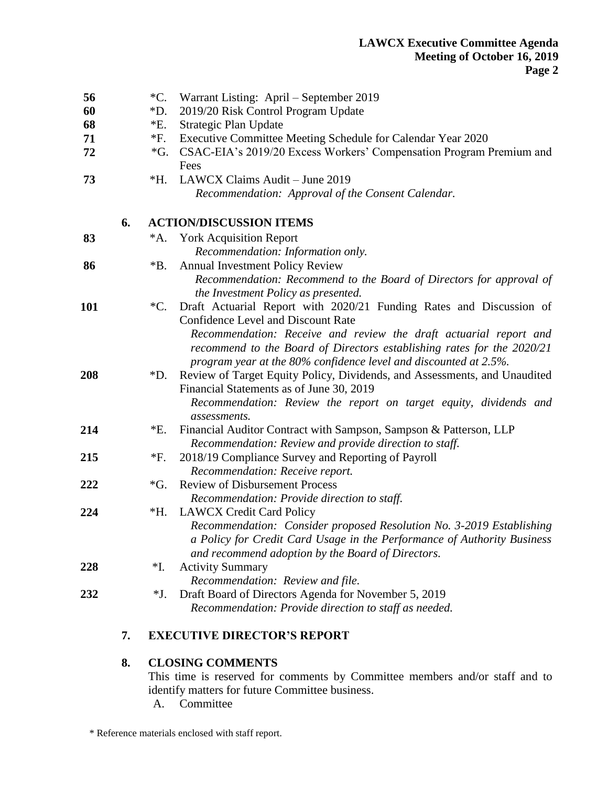| 56  |    | $^{\ast}C.$                    | Warrant Listing: April – September 2019                                                                                                                                                                                                                                                      |
|-----|----|--------------------------------|----------------------------------------------------------------------------------------------------------------------------------------------------------------------------------------------------------------------------------------------------------------------------------------------|
| 60  |    | *D.                            | 2019/20 Risk Control Program Update                                                                                                                                                                                                                                                          |
| 68  |    | *E.                            | Strategic Plan Update                                                                                                                                                                                                                                                                        |
| 71  |    | $*F.$                          | Executive Committee Meeting Schedule for Calendar Year 2020                                                                                                                                                                                                                                  |
| 72  |    | $\mathcal{G}^*$ .              | CSAC-EIA's 2019/20 Excess Workers' Compensation Program Premium and<br>Fees                                                                                                                                                                                                                  |
| 73  |    | $*H.$                          | LAWCX Claims Audit - June 2019                                                                                                                                                                                                                                                               |
|     |    |                                | Recommendation: Approval of the Consent Calendar.                                                                                                                                                                                                                                            |
|     | 6. | <b>ACTION/DISCUSSION ITEMS</b> |                                                                                                                                                                                                                                                                                              |
| 83  |    | *A.                            | <b>York Acquisition Report</b>                                                                                                                                                                                                                                                               |
|     |    |                                | Recommendation: Information only.                                                                                                                                                                                                                                                            |
| 86  |    | $*B.$                          | <b>Annual Investment Policy Review</b>                                                                                                                                                                                                                                                       |
|     |    |                                | Recommendation: Recommend to the Board of Directors for approval of<br>the Investment Policy as presented.                                                                                                                                                                                   |
| 101 |    |                                | *C. Draft Actuarial Report with 2020/21 Funding Rates and Discussion of                                                                                                                                                                                                                      |
|     |    |                                | <b>Confidence Level and Discount Rate</b>                                                                                                                                                                                                                                                    |
| 208 |    | $\rm *D.$                      | Recommendation: Receive and review the draft actuarial report and<br>recommend to the Board of Directors establishing rates for the 2020/21<br>program year at the 80% confidence level and discounted at 2.5%.<br>Review of Target Equity Policy, Dividends, and Assessments, and Unaudited |
|     |    |                                | Financial Statements as of June 30, 2019                                                                                                                                                                                                                                                     |
|     |    |                                | Recommendation: Review the report on target equity, dividends and<br>assessments.                                                                                                                                                                                                            |
| 214 |    | *E.                            | Financial Auditor Contract with Sampson, Sampson & Patterson, LLP<br>Recommendation: Review and provide direction to staff.                                                                                                                                                                  |
| 215 |    | *F.                            | 2018/19 Compliance Survey and Reporting of Payroll                                                                                                                                                                                                                                           |
|     |    |                                | Recommendation: Receive report.                                                                                                                                                                                                                                                              |
| 222 |    | $\mathcal{G}^*$ .              | <b>Review of Disbursement Process</b>                                                                                                                                                                                                                                                        |
|     |    |                                | Recommendation: Provide direction to staff.                                                                                                                                                                                                                                                  |
| 224 |    | $*H.$                          | <b>LAWCX Credit Card Policy</b>                                                                                                                                                                                                                                                              |
|     |    |                                | Recommendation: Consider proposed Resolution No. 3-2019 Establishing<br>a Policy for Credit Card Usage in the Performance of Authority Business<br>and recommend adoption by the Board of Directors.                                                                                         |
| 228 |    | *I.                            | <b>Activity Summary</b>                                                                                                                                                                                                                                                                      |
|     |    |                                | Recommendation: Review and file.                                                                                                                                                                                                                                                             |
| 232 |    | *J.                            | Draft Board of Directors Agenda for November 5, 2019                                                                                                                                                                                                                                         |
|     |    |                                | Recommendation: Provide direction to staff as needed.                                                                                                                                                                                                                                        |
|     |    |                                |                                                                                                                                                                                                                                                                                              |

# **7. EXECUTIVE DIRECTOR'S REPORT**

# **8. CLOSING COMMENTS**

This time is reserved for comments by Committee members and/or staff and to identify matters for future Committee business.

A. Committee

\* Reference materials enclosed with staff report.